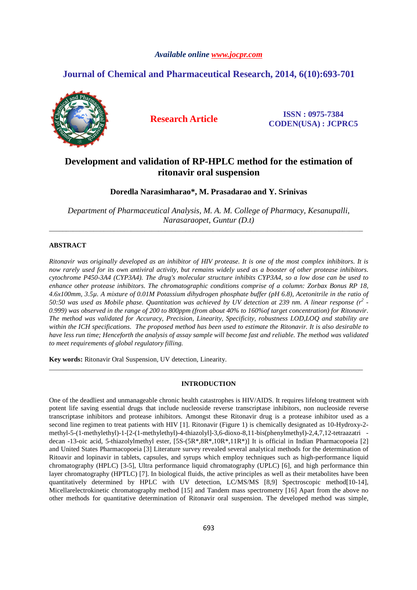## *Available online www.jocpr.com*

# **Journal of Chemical and Pharmaceutical Research, 2014, 6(10):693-701**



**Research Article ISSN : 0975-7384 CODEN(USA) : JCPRC5**

# **Development and validation of RP-HPLC method for the estimation of ritonavir oral suspension**

**Doredla Narasimharao\*, M. Prasadarao and Y. Srinivas** 

*Department of Pharmaceutical Analysis, M. A. M. College of Pharmacy, Kesanupalli, Narasaraopet, Guntur (D.t)*  \_\_\_\_\_\_\_\_\_\_\_\_\_\_\_\_\_\_\_\_\_\_\_\_\_\_\_\_\_\_\_\_\_\_\_\_\_\_\_\_\_\_\_\_\_\_\_\_\_\_\_\_\_\_\_\_\_\_\_\_\_\_\_\_\_\_\_\_\_\_\_\_\_\_\_\_\_\_\_\_\_\_\_\_\_\_\_\_\_\_\_\_

## **ABSTRACT**

*Ritonavir was originally developed as an inhibitor of HIV protease. It is one of the most complex inhibitors. It is now rarely used for its own antiviral activity, but remains widely used as a booster of other protease inhibitors. cytochrome P450-3A4 (CYP3A4). The drug's molecular structure inhibits CYP3A4, so a low dose can be used to enhance other protease inhibitors. The chromatographic conditions comprise of a column: Zorbax Bonus RP 18, 4.6x100mm, 3.5µ. A mixture of 0.01M Potassium dihydrogen phosphate buffer (pH 6.8), Acetonitrile in the ratio of 50:50 was used as Mobile phase. Quantitation was achieved by UV detection at 239 nm. A linear response (r<sup>2</sup> - 0.999) was observed in the range of 200 to 800ppm (from about 40% to 160%of target concentration) for Ritonavir. The method was validated for Accuracy, Precision, Linearity, Specificity, robustness LOD,LOQ and stability are within the ICH specifications. The proposed method has been used to estimate the Ritonavir. It is also desirable to have less run time; Henceforth the analysis of assay sample will become fast and reliable. The method was validated to meet requirements of global regulatory filling.* 

**Key words:** Ritonavir Oral Suspension, UV detection, Linearity.

## **INTRODUCTION**

\_\_\_\_\_\_\_\_\_\_\_\_\_\_\_\_\_\_\_\_\_\_\_\_\_\_\_\_\_\_\_\_\_\_\_\_\_\_\_\_\_\_\_\_\_\_\_\_\_\_\_\_\_\_\_\_\_\_\_\_\_\_\_\_\_\_\_\_\_\_\_\_\_\_\_\_\_\_\_\_\_\_\_\_\_\_\_\_\_\_\_\_

One of the deadliest and unmanageable chronic health catastrophes is HIV/AIDS. It requires lifelong treatment with potent life saving essential drugs that include nucleoside reverse transcriptase inhibitors, non nucleoside reverse transcriptase inhibitors and protease inhibitors. Amongst these Ritonavir drug is a protease inhibitor used as a second line regimen to treat patients with HIV [1]. Ritonavir (Figure 1) is chemically designated as 10-Hydroxy-2 methyl-5-(1-methylethyl)-1-[2-(1-methylethyl)-4-thiazolyl]-3,6-dioxo-8,11-bis(phenylmethyl)-2,4,7,12-tetraazatri decan -13-oic acid, 5-thiazolylmethyl ester, [5S-(5R\*,8R\*,10R\*,11R\*)] It is official in Indian Pharmacopoeia [2] and United States Pharmacopoeia [3] Literature survey revealed several analytical methods for the determination of Ritoavir and lopinavir in tablets, capsules, and syrups which employ techniques such as high-performance liquid chromatography (HPLC) [3-5], Ultra performance liquid chromatography (UPLC) [6], and high performance thin layer chromatography (HPTLC) [7]. In biological fluids, the active principles as well as their metabolites have been quantitatively determined by HPLC with UV detection, LC/MS/MS [8,9] Spectroscopic method[10-14], Micellarelectrokinetic chromatography method [15] and Tandem mass spectrometry [16] Apart from the above no other methods for quantitative determination of Ritonavir oral suspension. The developed method was simple,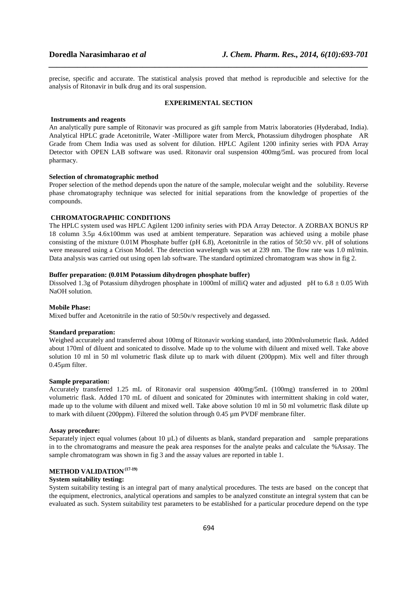precise, specific and accurate. The statistical analysis proved that method is reproducible and selective for the analysis of Ritonavir in bulk drug and its oral suspension.

*\_\_\_\_\_\_\_\_\_\_\_\_\_\_\_\_\_\_\_\_\_\_\_\_\_\_\_\_\_\_\_\_\_\_\_\_\_\_\_\_\_\_\_\_\_\_\_\_\_\_\_\_\_\_\_\_\_\_\_\_\_\_\_\_\_\_\_\_\_\_\_\_\_\_\_\_\_\_*

## **EXPERIMENTAL SECTION**

## **Instruments and reagents**

An analytically pure sample of Ritonavir was procured as gift sample from Matrix laboratories (Hyderabad, India). Analytical HPLC grade Acetonitrile, Water -Millipore water from Merck, Photassium dihydrogen phosphate AR Grade from Chem India was used as solvent for dilution. HPLC Agilent 1200 infinity series with PDA Array Detector with OPEN LAB software was used. Ritonavir oral suspension 400mg/5mL was procured from local pharmacy.

#### **Selection of chromatographic method**

Proper selection of the method depends upon the nature of the sample, molecular weight and the solubility. Reverse phase chromatography technique was selected for initial separations from the knowledge of properties of the compounds.

## **CHROMATOGRAPHIC CONDITIONS**

The HPLC system used was HPLC Agilent 1200 infinity series with PDA Array Detector. A ZORBAX BONUS RP 18 column 3.5µ 4.6x100mm was used at ambient temperature. Separation was achieved using a mobile phase consisting of the mixture 0.01M Phosphate buffer (pH 6.8), Acetonitrile in the ratios of 50:50 v/v. pH of solutions were measured using a Crison Model. The detection wavelength was set at 239 nm. The flow rate was 1.0 ml/min. Data analysis was carried out using open lab software. The standard optimized chromatogram was show in fig 2.

## **Buffer preparation: (0.01M Potassium dihydrogen phosphate buffer)**

Dissolved 1.3g of Potassium dihydrogen phosphate in 1000ml of milliQ water and adjusted pH to  $6.8 \pm 0.05$  With NaOH solution.

## **Mobile Phase:**

Mixed buffer and Acetonitrile in the ratio of 50:50v/v respectively and degassed.

#### **Standard preparation:**

Weighed accurately and transferred about 100mg of Ritonavir working standard, into 200mlvolumetric flask. Added about 170ml of diluent and sonicated to dissolve. Made up to the volume with diluent and mixed well. Take above solution 10 ml in 50 ml volumetric flask dilute up to mark with diluent (200ppm). Mix well and filter through 0.45µm filter.

#### **Sample preparation:**

Accurately transferred 1.25 mL of Ritonavir oral suspension 400mg/5mL (100mg) transferred in to 200ml volumetric flask. Added 170 mL of diluent and sonicated for 20minutes with intermittent shaking in cold water, made up to the volume with diluent and mixed well. Take above solution 10 ml in 50 ml volumetric flask dilute up to mark with diluent (200ppm). Filtered the solution through  $0.45 \mu m$  PVDF membrane filter.

#### **Assay procedure:**

Separately inject equal volumes (about  $10 \mu L$ ) of diluents as blank, standard preparation and sample preparations in to the chromatograms and measure the peak area responses for the analyte peaks and calculate the %Assay. The sample chromatogram was shown in fig 3 and the assay values are reported in table 1.

# **METHOD VALIDATION (17-19)**

## **System suitability testing:**

System suitability testing is an integral part of many analytical procedures. The tests are based on the concept that the equipment, electronics, analytical operations and samples to be analyzed constitute an integral system that can be evaluated as such. System suitability test parameters to be established for a particular procedure depend on the type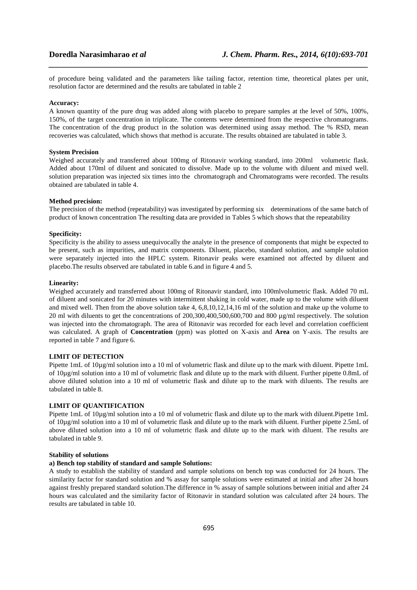of procedure being validated and the parameters like tailing factor, retention time, theoretical plates per unit, resolution factor are determined and the results are tabulated in table 2

*\_\_\_\_\_\_\_\_\_\_\_\_\_\_\_\_\_\_\_\_\_\_\_\_\_\_\_\_\_\_\_\_\_\_\_\_\_\_\_\_\_\_\_\_\_\_\_\_\_\_\_\_\_\_\_\_\_\_\_\_\_\_\_\_\_\_\_\_\_\_\_\_\_\_\_\_\_\_*

#### **Accuracy:**

A known quantity of the pure drug was added along with placebo to prepare samples at the level of 50%, 100%, 150%, of the target concentration in triplicate. The contents were determined from the respective chromatograms. The concentration of the drug product in the solution was determined using assay method. The % RSD, mean recoveries was calculated, which shows that method is accurate. The results obtained are tabulated in table 3.

## **System Precision**

Weighed accurately and transferred about 100mg of Ritonavir working standard, into 200ml volumetric flask. Added about 170ml of diluent and sonicated to dissolve. Made up to the volume with diluent and mixed well. solution preparation was injected six times into the chromatograph and Chromatograms were recorded. The results obtained are tabulated in table 4.

## **Method precision:**

The precision of the method (repeatability) was investigated by performing six determinations of the same batch of product of known concentration The resulting data are provided in Tables 5 which shows that the repeatability

#### **Specificity:**

Specificity is the ability to assess unequivocally the analyte in the presence of components that might be expected to be present, such as impurities, and matrix components. Diluent, placebo, standard solution, and sample solution were separately injected into the HPLC system. Ritonavir peaks were examined not affected by diluent and placebo.The results observed are tabulated in table 6.and in figure 4 and 5.

## **Linearity:**

Weighed accurately and transferred about 100mg of Ritonavir standard, into 100mlvolumetric flask. Added 70 mL of diluent and sonicated for 20 minutes with intermittent shaking in cold water, made up to the volume with diluent and mixed well. Then from the above solution take 4, 6,8,10,12,14,16 ml of the solution and make up the volume to 20 ml with diluents to get the concentrations of 200,300,400,500,600,700 and 800 µg/ml respectively. The solution was injected into the chromatograph. The area of Ritonavir was recorded for each level and correlation coefficient was calculated. A graph of **Concentration** (ppm) was plotted on X-axis and **Area** on Y-axis. The results are reported in table 7 and figure 6.

## **LIMIT OF DETECTION**

Pipette 1mL of 10µg/ml solution into a 10 ml of volumetric flask and dilute up to the mark with diluent. Pipette 1mL of 10µg/ml solution into a 10 ml of volumetric flask and dilute up to the mark with diluent. Further pipette 0.8mL of above diluted solution into a 10 ml of volumetric flask and dilute up to the mark with diluents. The results are tabulated in table 8.

## **LIMIT OF QUANTIFICATION**

Pipette 1mL of 10µg/ml solution into a 10 ml of volumetric flask and dilute up to the mark with diluent.Pipette 1mL of 10µg/ml solution into a 10 ml of volumetric flask and dilute up to the mark with diluent. Further pipette 2.5mL of above diluted solution into a 10 ml of volumetric flask and dilute up to the mark with diluent. The results are tabulated in table 9.

## **Stability of solutions**

## **a) Bench top stability of standard and sample Solutions:**

A study to establish the stability of standard and sample solutions on bench top was conducted for 24 hours. The similarity factor for standard solution and % assay for sample solutions were estimated at initial and after 24 hours against freshly prepared standard solution.The difference in % assay of sample solutions between initial and after 24 hours was calculated and the similarity factor of Ritonavir in standard solution was calculated after 24 hours. The results are tabulated in table 10.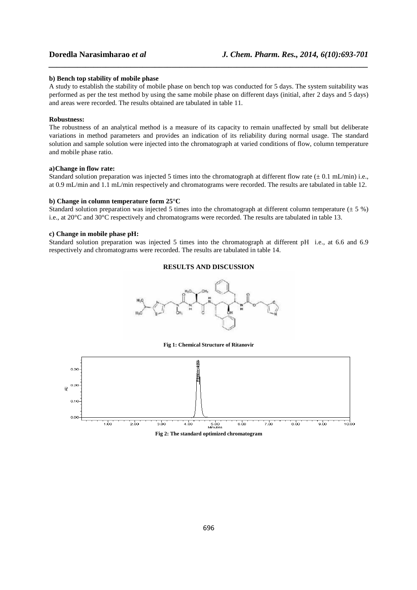## **b) Bench top stability of mobile phase**

A study to establish the stability of mobile phase on bench top was conducted for 5 days. The system suitability was performed as per the test method by using the same mobile phase on different days (initial, after 2 days and 5 days) and areas were recorded. The results obtained are tabulated in table 11.

*\_\_\_\_\_\_\_\_\_\_\_\_\_\_\_\_\_\_\_\_\_\_\_\_\_\_\_\_\_\_\_\_\_\_\_\_\_\_\_\_\_\_\_\_\_\_\_\_\_\_\_\_\_\_\_\_\_\_\_\_\_\_\_\_\_\_\_\_\_\_\_\_\_\_\_\_\_\_*

## **Robustness:**

The robustness of an analytical method is a measure of its capacity to remain unaffected by small but deliberate variations in method parameters and provides an indication of its reliability during normal usage. The standard solution and sample solution were injected into the chromatograph at varied conditions of flow, column temperature and mobile phase ratio.

## **a)Change in flow rate:**

Standard solution preparation was injected 5 times into the chromatograph at different flow rate  $(\pm 0.1 \text{ mL/min})$  i.e., at 0.9 mL/min and 1.1 mL/min respectively and chromatograms were recorded. The results are tabulated in table 12.

## **b) Change in column temperature form 25°C**

Standard solution preparation was injected 5 times into the chromatograph at different column temperature  $(\pm 5\%)$ i.e., at 20°C and 30°C respectively and chromatograms were recorded. The results are tabulated in table 13.

## **c) Change in mobile phase pH:**

Standard solution preparation was injected 5 times into the chromatograph at different pH i.e., at 6.6 and 6.9 respectively and chromatograms were recorded. The results are tabulated in table 14.

## **RESULTS AND DISCUSSION**



**Fig 1: Chemical Structure of Ritanovir** 

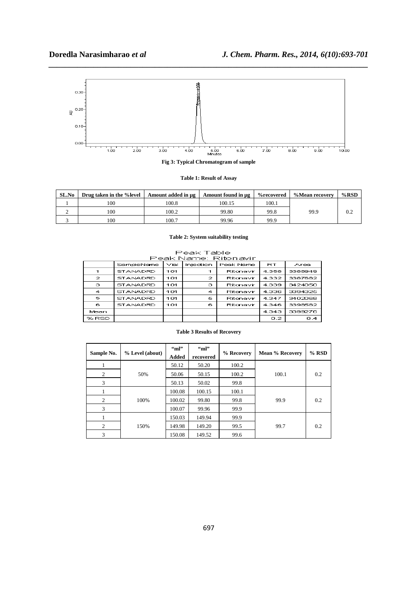

*\_\_\_\_\_\_\_\_\_\_\_\_\_\_\_\_\_\_\_\_\_\_\_\_\_\_\_\_\_\_\_\_\_\_\_\_\_\_\_\_\_\_\_\_\_\_\_\_\_\_\_\_\_\_\_\_\_\_\_\_\_\_\_\_\_\_\_\_\_\_\_\_\_\_\_\_\_\_*

**Table 1: Result of Assay** 

| SL.No | Drug taken in the % level | Amount added in ug | Amount found in ug | %recovered | %Mean recovery | %RSD |
|-------|---------------------------|--------------------|--------------------|------------|----------------|------|
|       | 100                       | 100.8              | 100.15             | 100.1      |                |      |
|       | 100                       | 100.2              | 99.80              | 99.8       | 99.9           | 0.2  |
|       | 100                       | 100.7              | 99.96              | 99.9       |                |      |

## **Table 2: System suitability testing**

Peak Table

| Peak Name: Ritonavir |                 |       |                  |           |           |         |  |
|----------------------|-----------------|-------|------------------|-----------|-----------|---------|--|
|                      | SampleName      | ∀iall | <b>Injection</b> | Peak Name | <b>RT</b> | Area.   |  |
| 1                    | <b>STANADRD</b> | 1 O1  |                  | Ritonavir | 4.358     | 3388949 |  |
| $\mathbf{z}$         | <b>STANADRD</b> | 1 O1  | $\mathbf{z}$     | Ritonavir | 4.332     | 3387682 |  |
| з                    | <b>STANADRD</b> | 101   | э                | Ritonavir | 4.339     | 3424050 |  |
| 4                    | <b>STANADRD</b> | 1 O1  | 4                | Ritonavir | 4.336     | 3394325 |  |
| 5                    | <b>STANADRD</b> | 1 O1  | 5.               | Ritonavir | 4.347     | 3402068 |  |
| 6                    | <b>STANADRD</b> | 101   | 6                | Ritonavir | 4.346     | 3398582 |  |
| Mean                 |                 |       |                  |           | 4.343     | 3399276 |  |
| % RSD                |                 |       |                  |           | 0.2       | 0.4     |  |

## **Table 3 Results of Recovery**

| Sample No. | % Level (about) | "m"<br>Added | "ml"<br>recovered | % Recovery | Mean % Recovery | $%$ RSD |
|------------|-----------------|--------------|-------------------|------------|-----------------|---------|
|            |                 | 50.12        | 50.20             | 100.2      |                 |         |
| 2          | 50%             | 50.06        | 50.15             | 100.2      | 100.1           | 0.2     |
| 3          |                 | 50.13        | 50.02             | 99.8       |                 |         |
|            |                 | 100.08       | 100.15            | 100.1      |                 |         |
| 2          | 100%            | 100.02       | 99.80             | 99.8       | 99.9            | 0.2     |
| 3          |                 | 100.07       | 99.96             | 99.9       |                 |         |
|            |                 | 150.03       | 149.94            | 99.9       |                 |         |
| 2          | 150%            | 149.98       | 149.20            | 99.5       | 99.7            | 0.2     |
| 3          |                 | 150.08       | 149.52            | 99.6       |                 |         |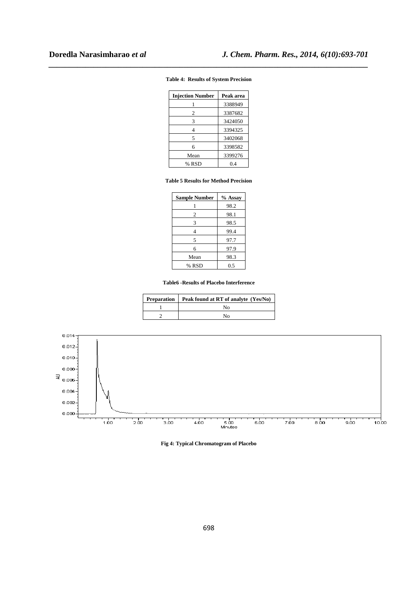## **Table 4: Results of System Precision**

*\_\_\_\_\_\_\_\_\_\_\_\_\_\_\_\_\_\_\_\_\_\_\_\_\_\_\_\_\_\_\_\_\_\_\_\_\_\_\_\_\_\_\_\_\_\_\_\_\_\_\_\_\_\_\_\_\_\_\_\_\_\_\_\_\_\_\_\_\_\_\_\_\_\_\_\_\_\_*

| <b>Injection Number</b> | Peak area |
|-------------------------|-----------|
|                         | 3388949   |
| 2                       | 3387682   |
| 3                       | 3424050   |
|                         | 3394325   |
| 5                       | 3402068   |
| 6                       | 3398582   |
| Mean                    | 3399276   |
| % RSD                   | 0.4       |

## **Table 5 Results for Method Precision**

| <b>Sample Number</b> | % Assay |
|----------------------|---------|
|                      | 98.2    |
| 2                    | 98.1    |
| 3                    | 98.5    |
|                      | 99.4    |
| 5                    | 97.7    |
| 6                    | 97.9    |
| Mean                 | 98.3    |
| % RSD                | 0.5     |

## **Table6 -Results of Placebo Interference**

| <b>Preparation</b>   Peak found at RT of analyte (Yes/No) |
|-----------------------------------------------------------|
| N٥                                                        |
| N٥                                                        |



**Fig 4: Typical Chromatogram of Placebo**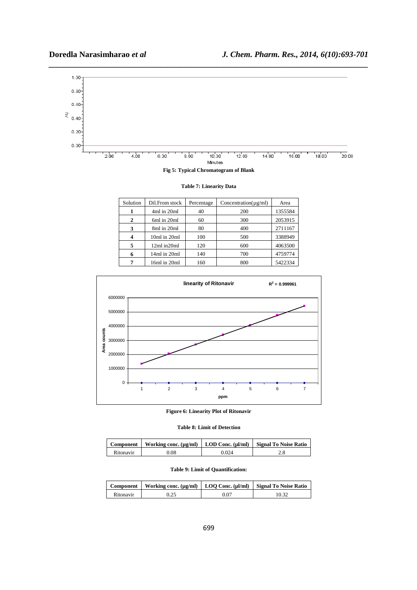

**Fig 5: Typical Chromatogram of Blank** 

**Table 7: Linearity Data** 

| Solution | Dil.From stock | Percentage | Concentration( $\mu$ g/ml) | Area    |
|----------|----------------|------------|----------------------------|---------|
|          | 4ml in 20ml    | 40         | 200                        | 1355584 |
| 2        | 6ml in 20ml    | 60         | 300                        | 2053915 |
| 3        | 8ml in 20ml    | 80         | 400                        | 2711167 |
|          | 10ml in 20ml   | 100        | 500                        | 3388949 |
| 5        | 12ml in20ml    | 120        | 600                        | 4063500 |
|          | 14ml in 20ml   | 140        | 700                        | 4759774 |
|          | 16ml in 20ml   | 160        | 800                        | 5422334 |



**Figure 6: Linearity Plot of Ritonavir** 

|  |  |  | <b>Table 8: Limit of Detection</b> |
|--|--|--|------------------------------------|
|--|--|--|------------------------------------|

| Component | Working conc. (µg/ml)   LOD Conc. (µl/ml)   Signal To Noise Ratio |       |     |
|-----------|-------------------------------------------------------------------|-------|-----|
| Ritonavir | 0.08                                                              | 0.024 | 2.0 |

## **Table 9: Limit of Quantification:**

|           | Component   Working conc. (µg/ml)   LOO Conc. (µl/ml)   Signal To Noise Ratio |      |  |
|-----------|-------------------------------------------------------------------------------|------|--|
| Ritonavir |                                                                               | 0.07 |  |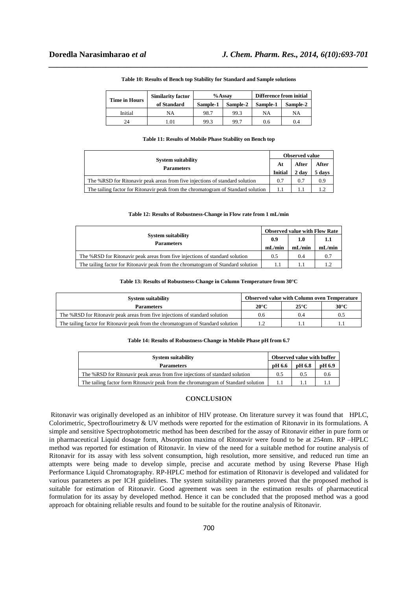| <b>Time in Hours</b> | <b>Similarity factor</b> |          | $%$ Assav | Difference from initial |          |
|----------------------|--------------------------|----------|-----------|-------------------------|----------|
|                      | of Standard              | Sample-1 | Sample-2  | Sample-1                | Sample-2 |
| Initial              | NΑ                       | 98.7     | 99.3      | NA                      | NA       |
| 24                   | .01                      | 99.3     | 99.7      | 0.6                     | 0.4      |

#### **Table 10: Results of Bench top Stability for Standard and Sample solutions**

*\_\_\_\_\_\_\_\_\_\_\_\_\_\_\_\_\_\_\_\_\_\_\_\_\_\_\_\_\_\_\_\_\_\_\_\_\_\_\_\_\_\_\_\_\_\_\_\_\_\_\_\_\_\_\_\_\_\_\_\_\_\_\_\_\_\_\_\_\_\_\_\_\_\_\_\_\_\_*

#### **Table 11: Results of Mobile Phase Stability on Bench top**

| <b>System suitability</b><br><b>Parameters</b>                                   |                | <b>Observed value</b> |        |  |
|----------------------------------------------------------------------------------|----------------|-----------------------|--------|--|
|                                                                                  |                | After                 | After  |  |
|                                                                                  | <b>Initial</b> | 2 day                 | 5 days |  |
| The %RSD for Ritonavir peak areas from five injections of standard solution      | 0.7            | 0.7                   | 0.9    |  |
| The tailing factor for Ritonavir peak from the chromatogram of Standard solution |                |                       | 12     |  |

#### **Table 12: Results of Robustness-Change in Flow rate from 1 mL/min**

|                                                                                  |        | <b>Observed value with Flow Rate</b> |        |  |
|----------------------------------------------------------------------------------|--------|--------------------------------------|--------|--|
| <b>System suitability</b><br><b>Parameters</b>                                   | 0.9    |                                      |        |  |
|                                                                                  | mL/min | mL/min                               | mL/min |  |
| The %RSD for Ritonavir peak areas from five injections of standard solution      | 0.5    | 0.4                                  | 0.7    |  |
| The tailing factor for Ritonavir peak from the chromatogram of Standard solution |        |                                      |        |  |

## **Table 13: Results of Robustness-Change in Column Temperature from 30°C**

| <b>System suitability</b>                                                        | <b>Observed value with Column oven Temperature</b> |               |      |  |
|----------------------------------------------------------------------------------|----------------------------------------------------|---------------|------|--|
| <b>Parameters</b>                                                                | $20^{\circ}$ C                                     | $25^{\circ}C$ | 30°C |  |
| The %RSD for Ritonavir peak areas from five injections of standard solution      | 06                                                 | (0.4)         | 0.5  |  |
| The tailing factor for Ritonavir peak from the chromatogram of Standard solution |                                                    |               |      |  |

#### **Table 14: Results of Robustness-Change in Mobile Phase pH from 6.7**

| <b>System suitability</b>                                                         | <b>Observed value with buffer</b> |        |        |
|-----------------------------------------------------------------------------------|-----------------------------------|--------|--------|
| <b>Parameters</b>                                                                 | pH 6.6                            | pH 6.8 | pH 6.9 |
| The %RSD for Ritonavir peak areas from five injections of standard solution       | 0.5                               | 0.5    | 0.6    |
| The tailing factor form Ritonavir peak from the chromatogram of Standard solution |                                   |        |        |

## **CONCLUSION**

 Ritonavir was originally developed as an inhibitor of HIV protease. On literature survey it was found that HPLC, Colorimetric, Spectroflourimetry & UV methods were reported for the estimation of Ritonavir in its formulations. A simple and sensitive Spectrophotometric method has been described for the assay of Ritonavir either in pure form or in pharmaceutical Liquid dosage form, Absorption maxima of Ritonavir were found to be at 254nm. RP –HPLC method was reported for estimation of Ritonavir. In view of the need for a suitable method for routine analysis of Ritonavir for its assay with less solvent consumption, high resolution, more sensitive, and reduced run time an attempts were being made to develop simple, precise and accurate method by using Reverse Phase High Performance Liquid Chromatography. RP-HPLC method for estimation of Ritonavir is developed and validated for various parameters as per ICH guidelines. The system suitability parameters proved that the proposed method is suitable for estimation of Ritonavir. Good agreement was seen in the estimation results of pharmaceutical formulation for its assay by developed method. Hence it can be concluded that the proposed method was a good approach for obtaining reliable results and found to be suitable for the routine analysis of Ritonavir.